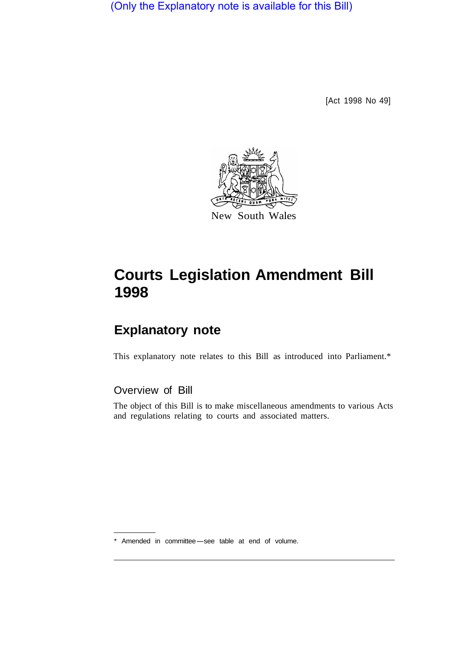(Only the Explanatory note is available for this Bill)

[Act 1998 No 49]



# **Courts Legislation Amendment Bill 1998**

## **Explanatory note**

This explanatory note relates to this Bill as introduced into Parliament.\*

## Overview of Bill

The object of this Bill is to make miscellaneous amendments to various Acts and regulations relating to courts and associated matters.

\* Amended in committee-see table at end of volume.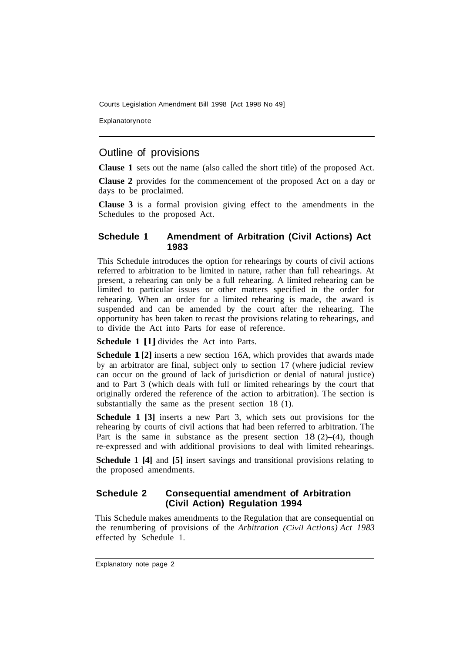Explanatorynote

## Outline of provisions

**Clause 1** sets out the name (also called the short title) of the proposed Act.

**Clause 2** provides for the commencement of the proposed Act on a day or days to be proclaimed.

**Clause 3** is a formal provision giving effect to the amendments in the Schedules to the proposed Act.

#### **Schedule 1 Amendment of Arbitration (Civil Actions) Act 1983**

This Schedule introduces the option for rehearings by courts of civil actions referred to arbitration to be limited in nature, rather than full rehearings. At present, a rehearing can only be a full rehearing. A limited rehearing can be limited to particular issues or other matters specified in the order for rehearing. When an order for a limited rehearing is made, the award is suspended and can be amended by the court after the rehearing. The opportunity has been taken to recast the provisions relating to rehearings, and to divide the Act into Parts for ease of reference.

**Schedule 1 [l]** divides the Act into Parts.

**Schedule 1**[2] inserts a new section 16A, which provides that awards made by an arbitrator are final, subject only to section 17 (where judicial review can occur on the ground of lack of jurisdiction or denial of natural justice) and to Part 3 (which deals with full or limited rehearings by the court that originally ordered the reference of the action to arbitration). The section is substantially the same as the present section 18 (1).

**Schedule 1 [3]** inserts a new Part 3, which sets out provisions for the rehearing by courts of civil actions that had been referred to arbitration. The Part is the same in substance as the present section  $18(2)$ –(4), though re-expressed and with additional provisions to deal with limited rehearings.

**Schedule 1 [4]** and **[5]** insert savings and transitional provisions relating to the proposed amendments.

#### **Schedule 2 Consequential amendment of Arbitration (Civil Action) Regulation 1994**

This Schedule makes amendments to the Regulation that are consequential on the renumbering of provisions of the *Arbitration (Civil Actions) Act 1983*  effected by Schedule 1.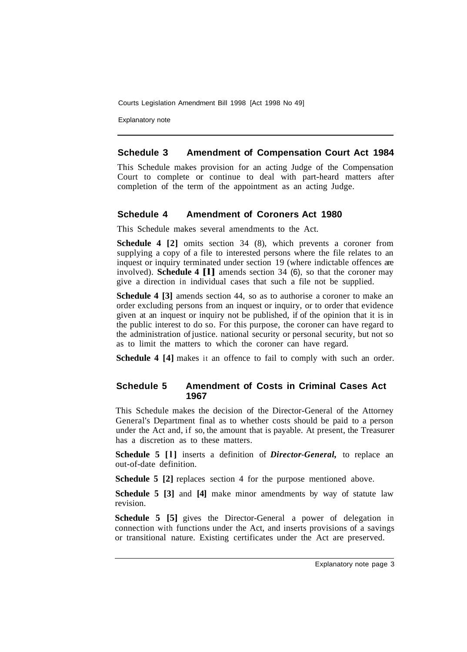Explanatory note

#### **Schedule 3 Amendment of Compensation Court Act 1984**

This Schedule makes provision for an acting Judge of the Compensation Court to complete or continue to deal with part-heard matters after completion of the term of the appointment as an acting Judge.

#### **Schedule 4 Amendment of Coroners Act 1980**

This Schedule makes several amendments to the Act.

**Schedule 4 [2]** omits section 34 (8), which prevents a coroner from supplying a copy of a file to interested persons where the file relates to an inquest or inquiry terminated under section 19 (where indictable offences are involved). **Schedule 4 [l]** amends section 34 (6), so that the coroner may give a direction in individual cases that such a file not be supplied.

**Schedule 4 [3]** amends section 44, so as to authorise a coroner to make an order excluding persons from an inquest or inquiry, or to order that evidence given at an inquest or inquiry not be published, if of the opinion that it is in the public interest to do so. For this purpose, the coroner can have regard to the administration of justice. national security or personal security, but not so as to limit the matters to which the coroner can have regard.

**Schedule 4 [4]** makes it an offence to fail to comply with such an order.

#### **Schedule 5 Amendment of Costs in Criminal Cases Act 1967**

This Schedule makes the decision of the Director-General of the Attorney General's Department final as to whether costs should be paid to a person under the Act and, if so, the amount that is payable. At present, the Treasurer has a discretion as to these matters.

**Schedule 5 [l]** inserts a definition of *Director-General,* to replace an out-of-date definition.

**Schedule 5 [2] replaces section 4 for the purpose mentioned above.** 

**Schedule 5 [3]** and **[4]** make minor amendments by way of statute law revision.

**Schedule 5 [5]** gives the Director-General a power of delegation in connection with functions under the Act, and inserts provisions of a savings or transitional nature. Existing certificates under the Act are preserved.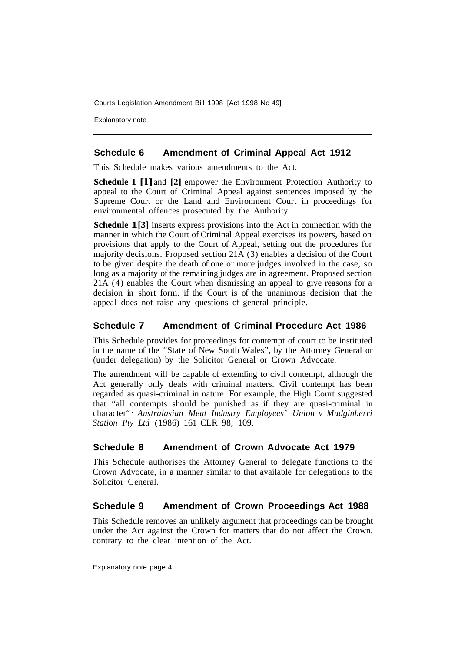Explanatory note

#### **Schedule 6 Amendment of Criminal Appeal Act 1912**

This Schedule makes various amendments to the Act.

**Schedule 1 [l]** and **[2]** empower the Environment Protection Authority to appeal to the Court of Criminal Appeal against sentences imposed by the Supreme Court or the Land and Environment Court in proceedings for environmental offences prosecuted by the Authority.

**Schedule 1[3]** inserts express provisions into the Act in connection with the manner in which the Court of Criminal Appeal exercises its powers, based on provisions that apply to the Court of Appeal, setting out the procedures for majority decisions. Proposed section 21A (3) enables a decision of the Court to be given despite the death of one or more judges involved in the case, so long as a majority of the remaining judges are in agreement. Proposed section 21A (4) enables the Court when dismissing an appeal to give reasons for a decision in short form. if the Court is of the unanimous decision that the appeal does not raise any questions of general principle.

#### **Schedule 7 Amendment of Criminal Procedure Act 1986**

This Schedule provides for proceedings for contempt of court to be instituted in the name of the "State of New South Wales", by the Attorney General or (under delegation) by the Solicitor General or Crown Advocate.

The amendment will be capable of extending to civil contempt, although the Act generally only deals with criminal matters. Civil contempt has been regarded as quasi-criminal in nature. For example, the High Court suggested that "all contempts should be punished as if they are quasi-criminal in character": Australasian Meat Industry Employees' Union v Mudginberri *Station Pty Ltd* (1986) 161 CLR 98, 109.

## **Schedule 8 Amendment of Crown Advocate Act 1979**

This Schedule authorises the Attorney General to delegate functions to the Crown Advocate, in a manner similar to that available for delegations to the Solicitor General.

## **Schedule 9 Amendment of Crown Proceedings Act 1988**

This Schedule removes an unlikely argument that proceedings can be brought under the Act against the Crown for matters that do not affect the Crown. contrary to the clear intention of the Act.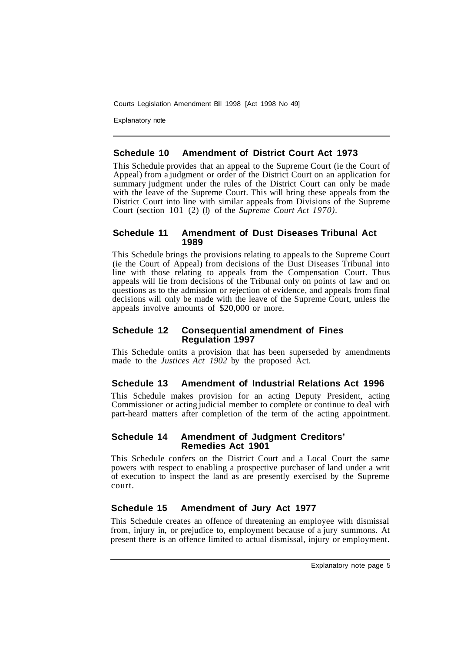Explanatory note

#### **Schedule 10 Amendment of District Court Act 1973**

This Schedule provides that an appeal to the Supreme Court (ie the Court of Appeal) from a judgment or order of the District Court on an application for summary judgment under the rules of the District Court can only be made with the leave of the Supreme Court. This will bring these appeals from the District Court into line with similar appeals from Divisions of the Supreme Court (section 101 (2) (l) of the *Supreme Court Act 1970).* 

#### **Schedule 11 Amendment of Dust Diseases Tribunal Act 1989**

This Schedule brings the provisions relating to appeals to the Supreme Court (ie the Court of Appeal) from decisions of the Dust Diseases Tribunal into line with those relating to appeals from the Compensation Court. Thus appeals will lie from decisions of the Tribunal only on points of law and on questions as to the admission or rejection of evidence, and appeals from final decisions will only be made with the leave of the Supreme Court, unless the appeals involve amounts of \$20,000 or more.

#### **Schedule 12 Consequential amendment of Fines Regulation 1997**

This Schedule omits a provision that has been superseded by amendments made to the *Justices Act 1902* by the proposed Act.

#### **Schedule 13 Amendment of Industrial Relations Act 1996**

This Schedule makes provision for an acting Deputy President, acting Commissioner or acting judicial member to complete or continue to deal with part-heard matters after completion of the term of the acting appointment.

#### **Schedule 14 Amendment of Judgment Creditors' Remedies Act 1901**

This Schedule confers on the District Court and a Local Court the same powers with respect to enabling a prospective purchaser of land under a writ of execution to inspect the land as are presently exercised by the Supreme court.

## **Schedule 15 Amendment of Jury Act 1977**

This Schedule creates an offence of threatening an employee with dismissal from, injury in, or prejudice to, employment because of a jury summons. At present there is an offence limited to actual dismissal, injury or employment.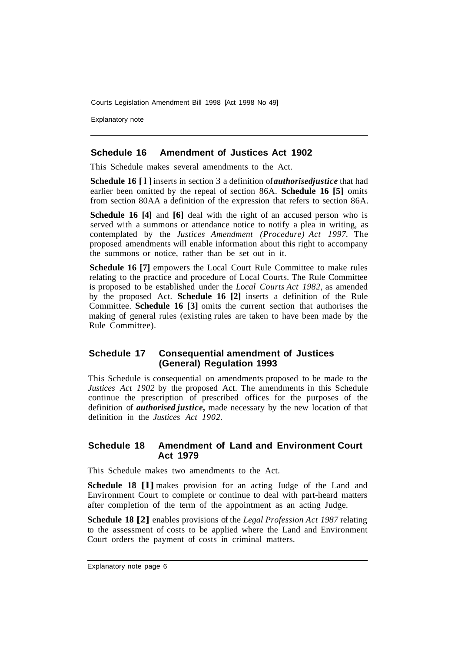Explanatory note

#### **Schedule 16 Amendment of Justices Act 1902**

This Schedule makes several amendments to the Act.

**Schedule 16 [1]** inserts in section 3 a definition of *authorised justice* that had earlier been omitted by the repeal of section 86A. **Schedule 16 [5]** omits from section 80AA a definition of the expression that refers to section 86A.

**Schedule 16 [4]** and **[6]** deal with the right of an accused person who is served with a summons or attendance notice to notify a plea in writing, as contemplated by the *Justices Amendment (Procedure) Act 1997.* The proposed amendments will enable information about this right to accompany the summons or notice, rather than be set out in it.

**Schedule 16 [7]** empowers the Local Court Rule Committee to make rules relating to the practice and procedure of Local Courts. The Rule Committee is proposed to be established under the *Local Courts Act 1982,* as amended by the proposed Act. **Schedule 16 [2]** inserts a definition of the Rule Committee. **Schedule 16 [3]** omits the current section that authorises the making of general rules (existing rules are taken to have been made by the Rule Committee).

#### **Schedule 17 Consequential amendment of Justices (General) Regulation 1993**

This Schedule is consequential on amendments proposed to be made to the *Justices Act 1902* by the proposed Act. The amendments in this Schedule continue the prescription of prescribed offices for the purposes of the definition of *authorised justice,* made necessary by the new location of that definition in the *Justices Act 1902.* 

#### **Schedule 18 Amendment of Land and Environment Court Act 1979**

This Schedule makes two amendments to the Act.

**Schedule 18 [1]** makes provision for an acting Judge of the Land and Environment Court to complete or continue to deal with part-heard matters after completion of the term of the appointment as an acting Judge.

**Schedule 18 [2]** enables provisions of the *Legal Profession Act 1987* relating to the assessment of costs to be applied where the Land and Environment Court orders the payment of costs in criminal matters.